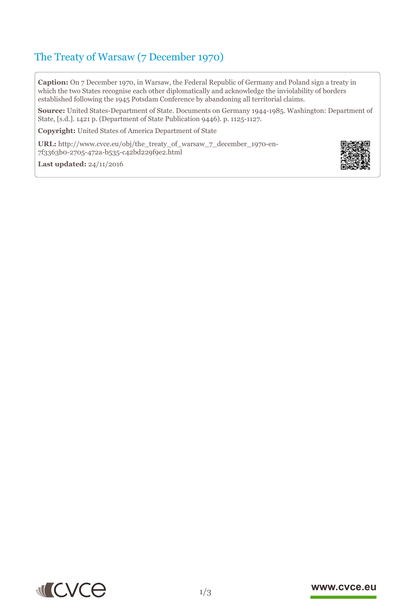# The Treaty of Warsaw (7 December 1970)

**Caption:** On 7 December 1970, in Warsaw, the Federal Republic of Germany and Poland sign a treaty in which the two States recognise each other diplomatically and acknowledge the inviolability of borders established following the 1945 Potsdam Conference by abandoning all territorial claims.

**Source:** United States-Department of State. Documents on Germany 1944-1985. Washington: Department of State, [s.d.]. 1421 p. (Department of State Publication 9446). p. 1125-1127.

**Copyright:** United States of America Department of State

**URL:** http://www.cvce.eu/obj/the\_treaty\_of\_warsaw\_7\_december\_1970-en-7f3363b0-[2705-472a-b535-c42bd229f9e2.html](http://www.cvce.eu/obj/the_treaty_of_warsaw_7_december_1970-en-7f3363b0-2705-472a-b535-c42bd229f9e2.html)



**Las[t updated:](http://www.cvce.eu/obj/the_treaty_of_warsaw_7_december_1970-en-7f3363b0-2705-472a-b535-c42bd229f9e2.html)** 24/11/2016



#### www.cvce.eu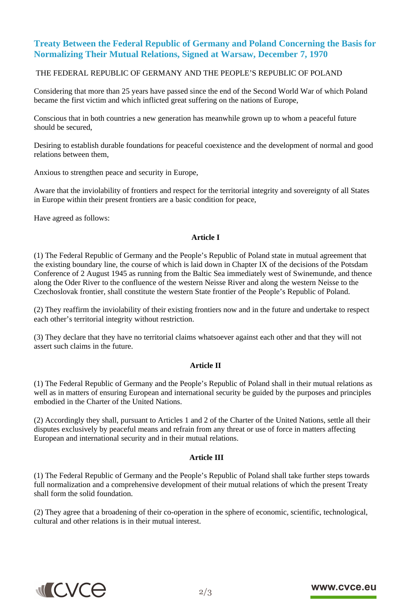## **Treaty Between the Federal Republic of Germany and Poland Concerning the Basis for Normalizing Their Mutual Relations, Signed at Warsaw, December 7, 1970**

#### THE FEDERAL REPUBLIC OF GERMANY AND THE PEOPLE'S REPUBLIC OF POLAND

Considering that more than 25 years have passed since the end of the Second World War of which Poland became the first victim and which inflicted great suffering on the nations of Europe,

Conscious that in both countries a new generation has meanwhile grown up to whom a peaceful future should be secured,

Desiring to establish durable foundations for peaceful coexistence and the development of normal and good relations between them,

Anxious to strengthen peace and security in Europe,

Aware that the inviolability of frontiers and respect for the territorial integrity and sovereignty of all States in Europe within their present frontiers are a basic condition for peace,

Have agreed as follows:

#### **Article I**

(1) The Federal Republic of Germany and the People's Republic of Poland state in mutual agreement that the existing boundary line, the course of which is laid down in Chapter IX of the decisions of the Potsdam Conference of 2 August 1945 as running from the Baltic Sea immediately west of Swinemunde, and thence along the Oder River to the confluence of the western Neisse River and along the western Neisse to the Czechoslovak frontier, shall constitute the western State frontier of the People's Republic of Poland.

(2) They reaffirm the inviolability of their existing frontiers now and in the future and undertake to respect each other's territorial integrity without restriction.

(3) They declare that they have no territorial claims whatsoever against each other and that they will not assert such claims in the future.

#### **Article II**

(1) The Federal Republic of Germany and the People's Republic of Poland shall in their mutual relations as well as in matters of ensuring European and international security be guided by the purposes and principles embodied in the Charter of the United Nations.

(2) Accordingly they shall, pursuant to Articles 1 and 2 of the Charter of the United Nations, settle all their disputes exclusively by peaceful means and refrain from any threat or use of force in matters affecting European and international security and in their mutual relations.

#### **Article III**

(1) The Federal Republic of Germany and the People's Republic of Poland shall take further steps towards full normalization and a comprehensive development of their mutual relations of which the present Treaty shall form the solid foundation.

(2) They agree that a broadening of their co-operation in the sphere of economic, scientific, technological, cultural and other relations is in their mutual interest.



### www.cvce.eu